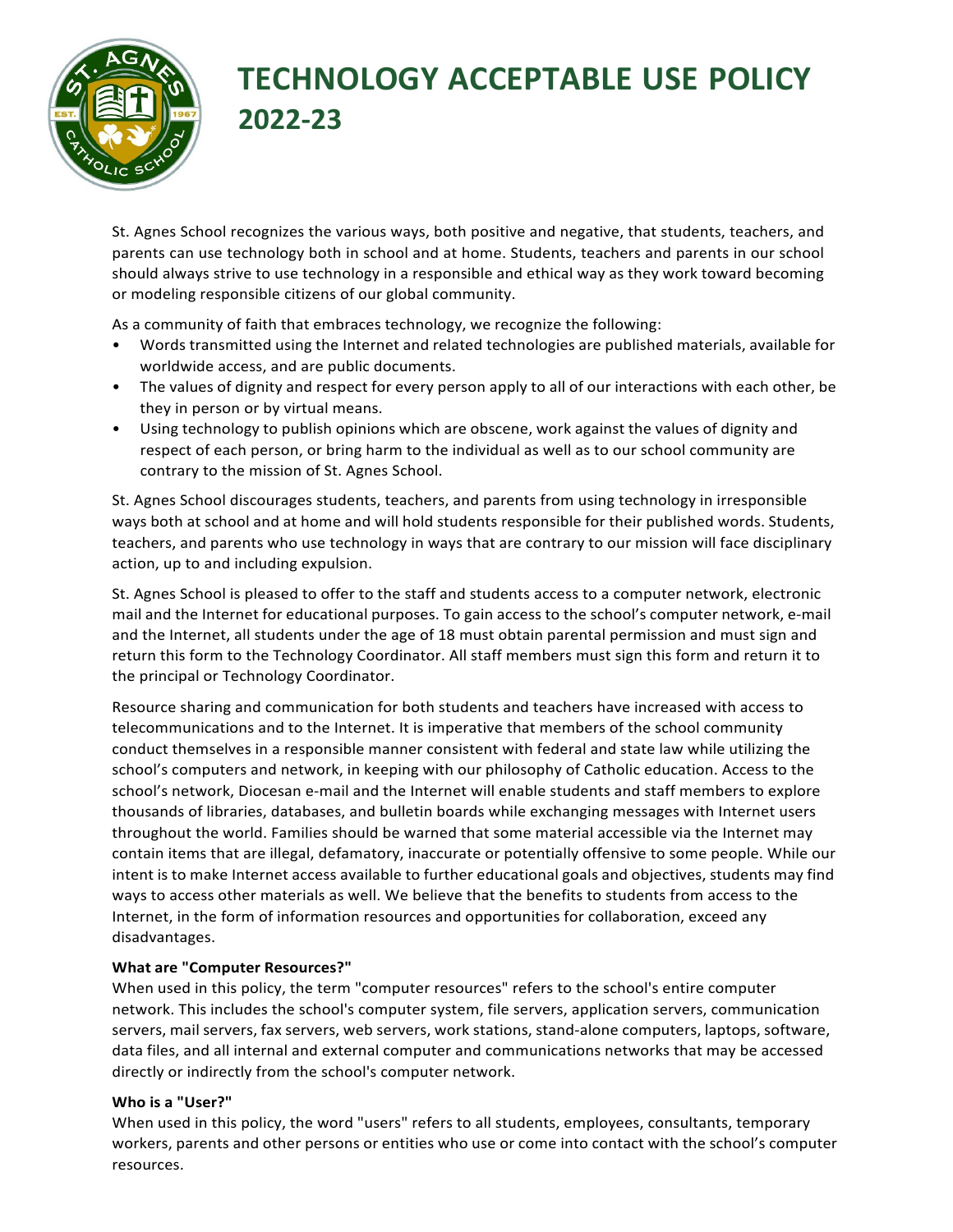

# **TECHNOLOGY ACCEPTABLE USE POLICY 2022-23**

St. Agnes School recognizes the various ways, both positive and negative, that students, teachers, and parents can use technology both in school and at home. Students, teachers and parents in our school should always strive to use technology in a responsible and ethical way as they work toward becoming or modeling responsible citizens of our global community.

As a community of faith that embraces technology, we recognize the following:

- Words transmitted using the Internet and related technologies are published materials, available for worldwide access, and are public documents.
- The values of dignity and respect for every person apply to all of our interactions with each other, be they in person or by virtual means.
- Using technology to publish opinions which are obscene, work against the values of dignity and respect of each person, or bring harm to the individual as well as to our school community are contrary to the mission of St. Agnes School.

St. Agnes School discourages students, teachers, and parents from using technology in irresponsible ways both at school and at home and will hold students responsible for their published words. Students, teachers, and parents who use technology in ways that are contrary to our mission will face disciplinary action, up to and including expulsion.

St. Agnes School is pleased to offer to the staff and students access to a computer network, electronic mail and the Internet for educational purposes. To gain access to the school's computer network, e-mail and the Internet, all students under the age of 18 must obtain parental permission and must sign and return this form to the Technology Coordinator. All staff members must sign this form and return it to the principal or Technology Coordinator.

Resource sharing and communication for both students and teachers have increased with access to telecommunications and to the Internet. It is imperative that members of the school community conduct themselves in a responsible manner consistent with federal and state law while utilizing the school's computers and network, in keeping with our philosophy of Catholic education. Access to the school's network, Diocesan e-mail and the Internet will enable students and staff members to explore thousands of libraries, databases, and bulletin boards while exchanging messages with Internet users throughout the world. Families should be warned that some material accessible via the Internet may contain items that are illegal, defamatory, inaccurate or potentially offensive to some people. While our intent is to make Internet access available to further educational goals and objectives, students may find ways to access other materials as well. We believe that the benefits to students from access to the Internet, in the form of information resources and opportunities for collaboration, exceed any disadvantages.

## **What are "Computer Resources?"**

When used in this policy, the term "computer resources" refers to the school's entire computer network. This includes the school's computer system, file servers, application servers, communication servers, mail servers, fax servers, web servers, work stations, stand-alone computers, laptops, software, data files, and all internal and external computer and communications networks that may be accessed directly or indirectly from the school's computer network.

#### **Who is a "User?"**

When used in this policy, the word "users" refers to all students, employees, consultants, temporary workers, parents and other persons or entities who use or come into contact with the school's computer resources.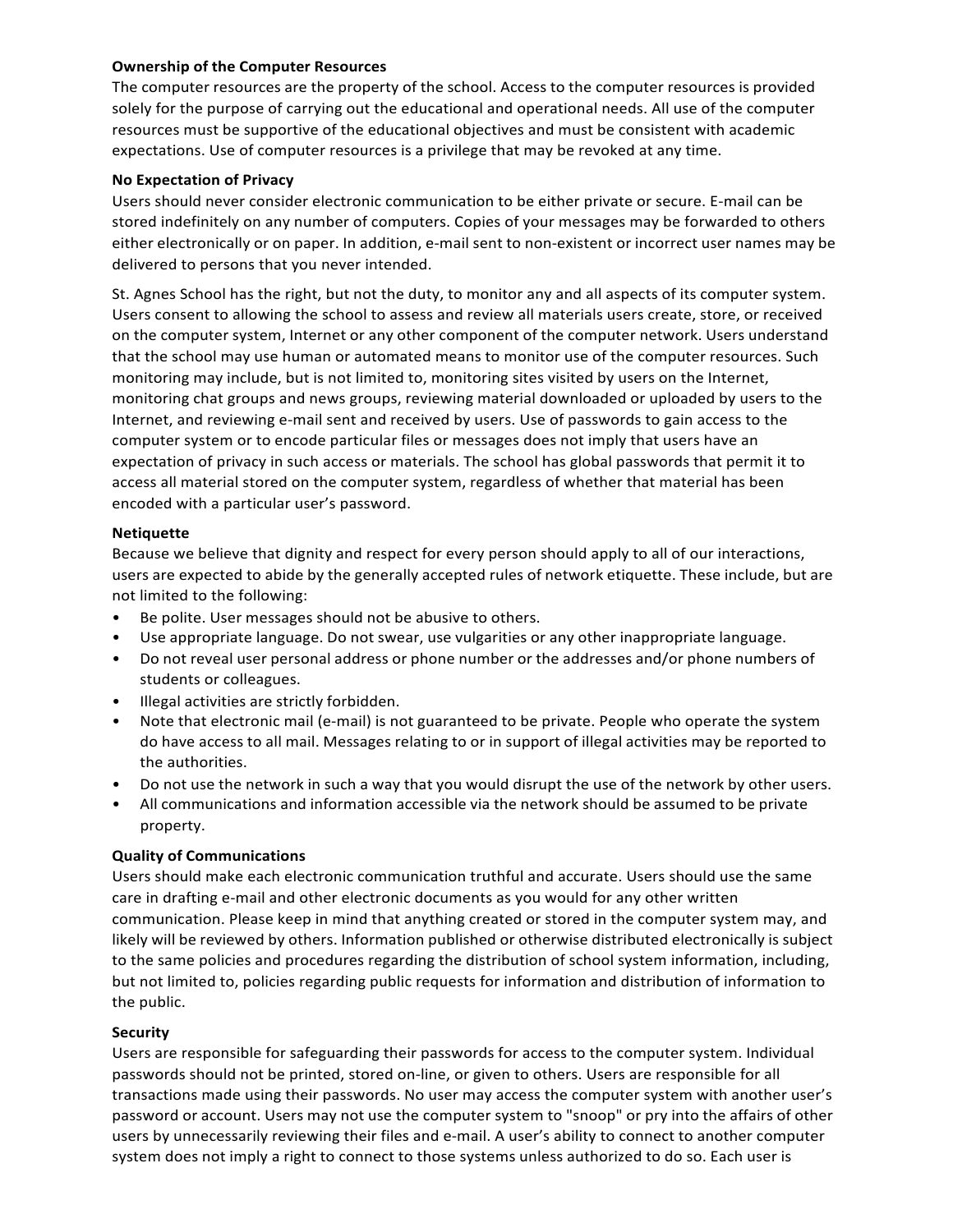#### **Ownership of the Computer Resources**

The computer resources are the property of the school. Access to the computer resources is provided solely for the purpose of carrying out the educational and operational needs. All use of the computer resources must be supportive of the educational objectives and must be consistent with academic expectations. Use of computer resources is a privilege that may be revoked at any time.

#### **No Expectation of Privacy**

Users should never consider electronic communication to be either private or secure. E-mail can be stored indefinitely on any number of computers. Copies of your messages may be forwarded to others either electronically or on paper. In addition, e-mail sent to non-existent or incorrect user names may be delivered to persons that you never intended.

St. Agnes School has the right, but not the duty, to monitor any and all aspects of its computer system. Users consent to allowing the school to assess and review all materials users create, store, or received on the computer system, Internet or any other component of the computer network. Users understand that the school may use human or automated means to monitor use of the computer resources. Such monitoring may include, but is not limited to, monitoring sites visited by users on the Internet, monitoring chat groups and news groups, reviewing material downloaded or uploaded by users to the Internet, and reviewing e-mail sent and received by users. Use of passwords to gain access to the computer system or to encode particular files or messages does not imply that users have an expectation of privacy in such access or materials. The school has global passwords that permit it to access all material stored on the computer system, regardless of whether that material has been encoded with a particular user's password.

#### **Netiquette**

Because we believe that dignity and respect for every person should apply to all of our interactions, users are expected to abide by the generally accepted rules of network etiquette. These include, but are not limited to the following:

- Be polite. User messages should not be abusive to others.
- Use appropriate language. Do not swear, use vulgarities or any other inappropriate language.
- Do not reveal user personal address or phone number or the addresses and/or phone numbers of students or colleagues.
- Illegal activities are strictly forbidden.
- Note that electronic mail (e-mail) is not guaranteed to be private. People who operate the system do have access to all mail. Messages relating to or in support of illegal activities may be reported to the authorities.
- Do not use the network in such a way that you would disrupt the use of the network by other users.
- All communications and information accessible via the network should be assumed to be private property.

## **Quality of Communications**

Users should make each electronic communication truthful and accurate. Users should use the same care in drafting e-mail and other electronic documents as you would for any other written communication. Please keep in mind that anything created or stored in the computer system may, and likely will be reviewed by others. Information published or otherwise distributed electronically is subject to the same policies and procedures regarding the distribution of school system information, including, but not limited to, policies regarding public requests for information and distribution of information to the public.

#### **Security**

Users are responsible for safeguarding their passwords for access to the computer system. Individual passwords should not be printed, stored on-line, or given to others. Users are responsible for all transactions made using their passwords. No user may access the computer system with another user's password or account. Users may not use the computer system to "snoop" or pry into the affairs of other users by unnecessarily reviewing their files and e-mail. A user's ability to connect to another computer system does not imply a right to connect to those systems unless authorized to do so. Each user is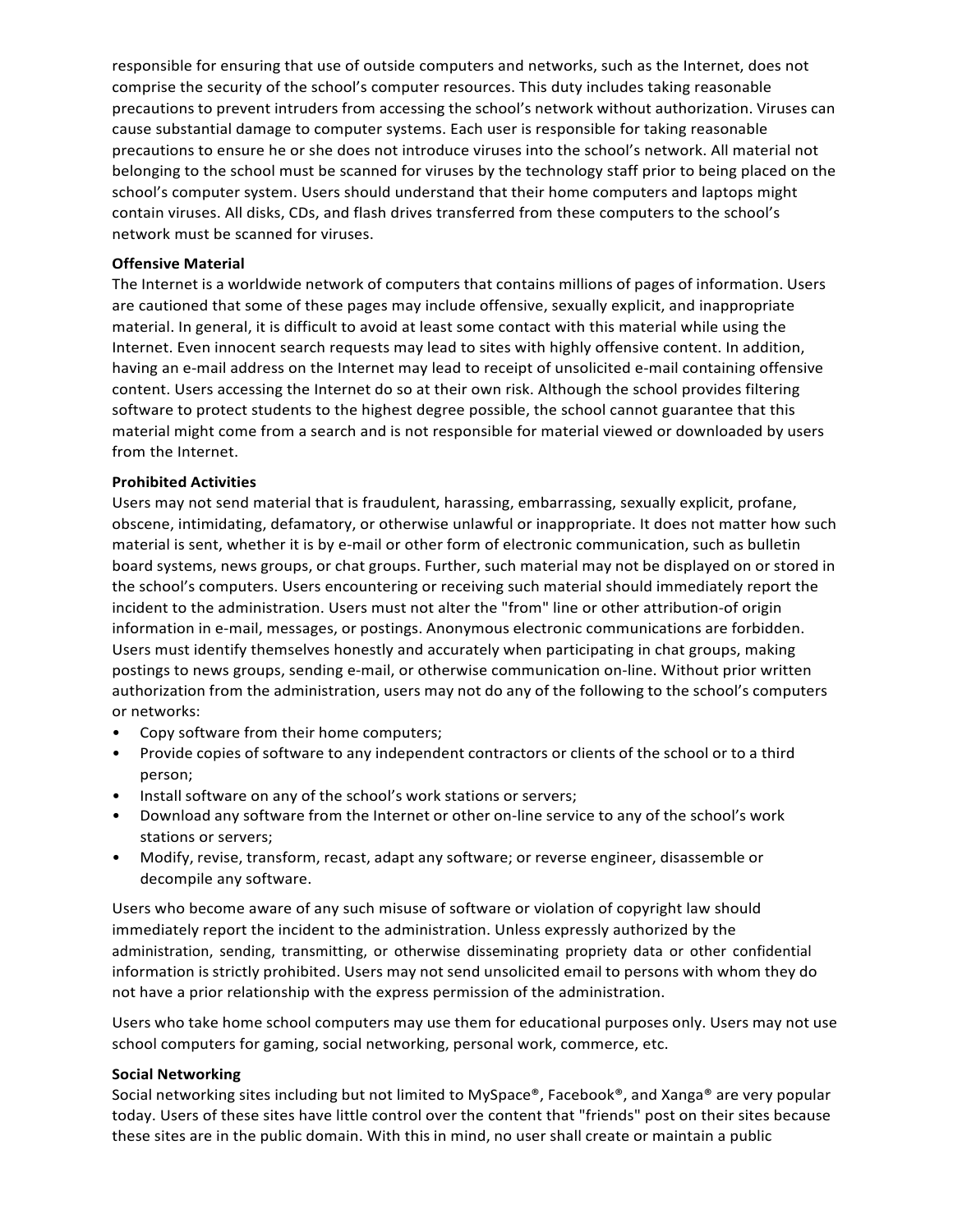responsible for ensuring that use of outside computers and networks, such as the Internet, does not comprise the security of the school's computer resources. This duty includes taking reasonable precautions to prevent intruders from accessing the school's network without authorization. Viruses can cause substantial damage to computer systems. Each user is responsible for taking reasonable precautions to ensure he or she does not introduce viruses into the school's network. All material not belonging to the school must be scanned for viruses by the technology staff prior to being placed on the school's computer system. Users should understand that their home computers and laptops might contain viruses. All disks, CDs, and flash drives transferred from these computers to the school's network must be scanned for viruses.

#### **Offensive Material**

The Internet is a worldwide network of computers that contains millions of pages of information. Users are cautioned that some of these pages may include offensive, sexually explicit, and inappropriate material. In general, it is difficult to avoid at least some contact with this material while using the Internet. Even innocent search requests may lead to sites with highly offensive content. In addition, having an e-mail address on the Internet may lead to receipt of unsolicited e-mail containing offensive content. Users accessing the Internet do so at their own risk. Although the school provides filtering software to protect students to the highest degree possible, the school cannot guarantee that this material might come from a search and is not responsible for material viewed or downloaded by users from the Internet.

#### **Prohibited Activities**

Users may not send material that is fraudulent, harassing, embarrassing, sexually explicit, profane, obscene, intimidating, defamatory, or otherwise unlawful or inappropriate. It does not matter how such material is sent, whether it is by e-mail or other form of electronic communication, such as bulletin board systems, news groups, or chat groups. Further, such material may not be displayed on or stored in the school's computers. Users encountering or receiving such material should immediately report the incident to the administration. Users must not alter the "from" line or other attribution-of origin information in e-mail, messages, or postings. Anonymous electronic communications are forbidden. Users must identify themselves honestly and accurately when participating in chat groups, making postings to news groups, sending e-mail, or otherwise communication on-line. Without prior written authorization from the administration, users may not do any of the following to the school's computers or networks:

- Copy software from their home computers;
- Provide copies of software to any independent contractors or clients of the school or to a third person;
- Install software on any of the school's work stations or servers;
- Download any software from the Internet or other on-line service to any of the school's work stations or servers;
- Modify, revise, transform, recast, adapt any software; or reverse engineer, disassemble or decompile any software.

Users who become aware of any such misuse of software or violation of copyright law should immediately report the incident to the administration. Unless expressly authorized by the administration, sending, transmitting, or otherwise disseminating propriety data or other confidential information is strictly prohibited. Users may not send unsolicited email to persons with whom they do not have a prior relationship with the express permission of the administration.

Users who take home school computers may use them for educational purposes only. Users may not use school computers for gaming, social networking, personal work, commerce, etc.

#### **Social Networking**

Social networking sites including but not limited to MySpace®, Facebook®, and Xanga® are very popular today. Users of these sites have little control over the content that "friends" post on their sites because these sites are in the public domain. With this in mind, no user shall create or maintain a public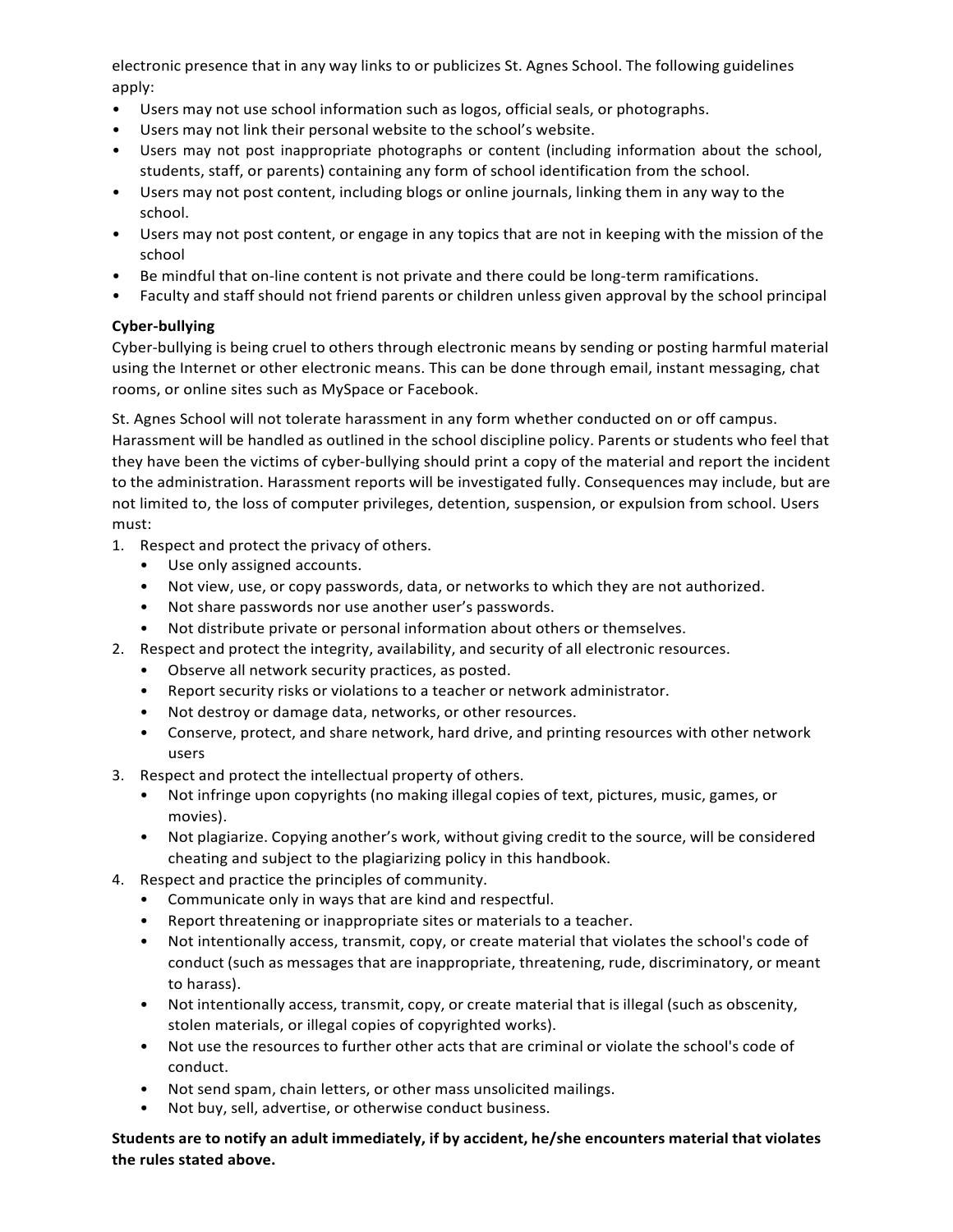electronic presence that in any way links to or publicizes St. Agnes School. The following guidelines apply:

- Users may not use school information such as logos, official seals, or photographs.
- Users may not link their personal website to the school's website.
- Users may not post inappropriate photographs or content (including information about the school, students, staff, or parents) containing any form of school identification from the school.
- Users may not post content, including blogs or online journals, linking them in any way to the school.
- Users may not post content, or engage in any topics that are not in keeping with the mission of the school
- Be mindful that on-line content is not private and there could be long-term ramifications.
- Faculty and staff should not friend parents or children unless given approval by the school principal

## **Cyber-bullying**

Cyber-bullying is being cruel to others through electronic means by sending or posting harmful material using the Internet or other electronic means. This can be done through email, instant messaging, chat rooms, or online sites such as MySpace or Facebook.

St. Agnes School will not tolerate harassment in any form whether conducted on or off campus. Harassment will be handled as outlined in the school discipline policy. Parents or students who feel that they have been the victims of cyber-bullying should print a copy of the material and report the incident to the administration. Harassment reports will be investigated fully. Consequences may include, but are not limited to, the loss of computer privileges, detention, suspension, or expulsion from school. Users must:

- 1. Respect and protect the privacy of others.
	- Use only assigned accounts.
	- Not view, use, or copy passwords, data, or networks to which they are not authorized.
	- Not share passwords nor use another user's passwords.
	- Not distribute private or personal information about others or themselves.
- 2. Respect and protect the integrity, availability, and security of all electronic resources.
	- Observe all network security practices, as posted.
	- Report security risks or violations to a teacher or network administrator.
	- Not destroy or damage data, networks, or other resources.
	- Conserve, protect, and share network, hard drive, and printing resources with other network users
- 3. Respect and protect the intellectual property of others.
	- Not infringe upon copyrights (no making illegal copies of text, pictures, music, games, or movies).
	- Not plagiarize. Copying another's work, without giving credit to the source, will be considered cheating and subject to the plagiarizing policy in this handbook.
- 4. Respect and practice the principles of community.
	- Communicate only in ways that are kind and respectful.
	- Report threatening or inappropriate sites or materials to a teacher.
	- Not intentionally access, transmit, copy, or create material that violates the school's code of conduct (such as messages that are inappropriate, threatening, rude, discriminatory, or meant to harass).
	- Not intentionally access, transmit, copy, or create material that is illegal (such as obscenity, stolen materials, or illegal copies of copyrighted works).
	- Not use the resources to further other acts that are criminal or violate the school's code of conduct.
	- Not send spam, chain letters, or other mass unsolicited mailings.
	- Not buy, sell, advertise, or otherwise conduct business.

**Students are to notify an adult immediately, if by accident, he/she encounters material that violates the rules stated above.**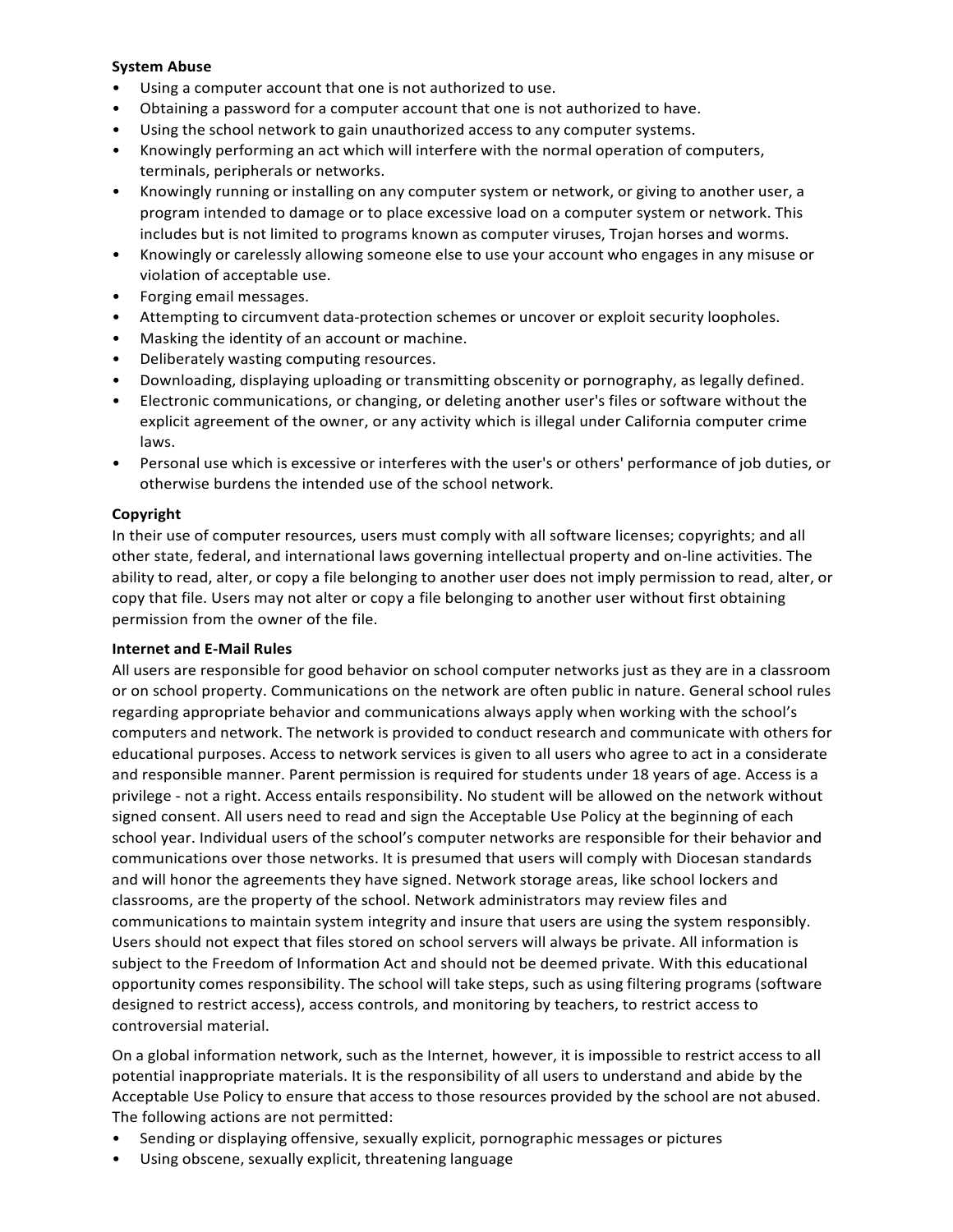#### **System Abuse**

- Using a computer account that one is not authorized to use.
- Obtaining a password for a computer account that one is not authorized to have.
- Using the school network to gain unauthorized access to any computer systems.
- Knowingly performing an act which will interfere with the normal operation of computers, terminals, peripherals or networks.
- Knowingly running or installing on any computer system or network, or giving to another user, a program intended to damage or to place excessive load on a computer system or network. This includes but is not limited to programs known as computer viruses, Trojan horses and worms.
- Knowingly or carelessly allowing someone else to use your account who engages in any misuse or violation of acceptable use.
- Forging email messages.
- Attempting to circumvent data-protection schemes or uncover or exploit security loopholes.
- Masking the identity of an account or machine.
- Deliberately wasting computing resources.
- Downloading, displaying uploading or transmitting obscenity or pornography, as legally defined.
- Electronic communications, or changing, or deleting another user's files or software without the explicit agreement of the owner, or any activity which is illegal under California computer crime laws.
- Personal use which is excessive or interferes with the user's or others' performance of job duties, or otherwise burdens the intended use of the school network.

#### **Copyright**

In their use of computer resources, users must comply with all software licenses; copyrights; and all other state, federal, and international laws governing intellectual property and on-line activities. The ability to read, alter, or copy a file belonging to another user does not imply permission to read, alter, or copy that file. Users may not alter or copy a file belonging to another user without first obtaining permission from the owner of the file.

#### **Internet and E-Mail Rules**

All users are responsible for good behavior on school computer networks just as they are in a classroom or on school property. Communications on the network are often public in nature. General school rules regarding appropriate behavior and communications always apply when working with the school's computers and network. The network is provided to conduct research and communicate with others for educational purposes. Access to network services is given to all users who agree to act in a considerate and responsible manner. Parent permission is required for students under 18 years of age. Access is a privilege - not a right. Access entails responsibility. No student will be allowed on the network without signed consent. All users need to read and sign the Acceptable Use Policy at the beginning of each school year. Individual users of the school's computer networks are responsible for their behavior and communications over those networks. It is presumed that users will comply with Diocesan standards and will honor the agreements they have signed. Network storage areas, like school lockers and classrooms, are the property of the school. Network administrators may review files and communications to maintain system integrity and insure that users are using the system responsibly. Users should not expect that files stored on school servers will always be private. All information is subject to the Freedom of Information Act and should not be deemed private. With this educational opportunity comes responsibility. The school will take steps, such as using filtering programs (software designed to restrict access), access controls, and monitoring by teachers, to restrict access to controversial material.

On a global information network, such as the Internet, however, it is impossible to restrict access to all potential inappropriate materials. It is the responsibility of all users to understand and abide by the Acceptable Use Policy to ensure that access to those resources provided by the school are not abused. The following actions are not permitted:

- Sending or displaying offensive, sexually explicit, pornographic messages or pictures
- Using obscene, sexually explicit, threatening language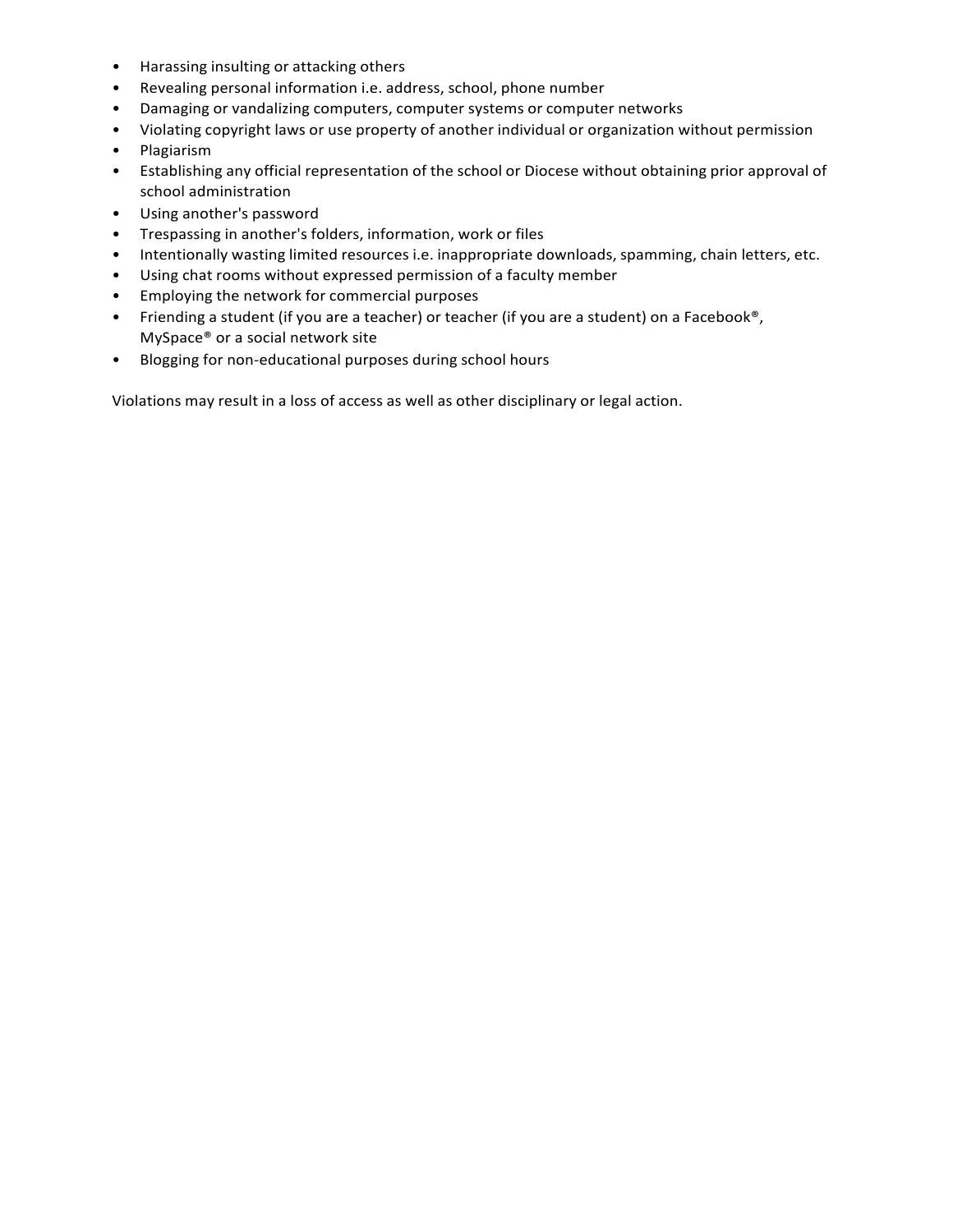- Harassing insulting or attacking others
- Revealing personal information i.e. address, school, phone number
- Damaging or vandalizing computers, computer systems or computer networks
- Violating copyright laws or use property of another individual or organization without permission
- Plagiarism
- Establishing any official representation of the school or Diocese without obtaining prior approval of school administration
- Using another's password
- Trespassing in another's folders, information, work or files
- Intentionally wasting limited resources i.e. inappropriate downloads, spamming, chain letters, etc.
- Using chat rooms without expressed permission of a faculty member
- Employing the network for commercial purposes
- Friending a student (if you are a teacher) or teacher (if you are a student) on a Facebook<sup>®</sup>, MySpace® or a social network site
- Blogging for non-educational purposes during school hours

Violations may result in a loss of access as well as other disciplinary or legal action.